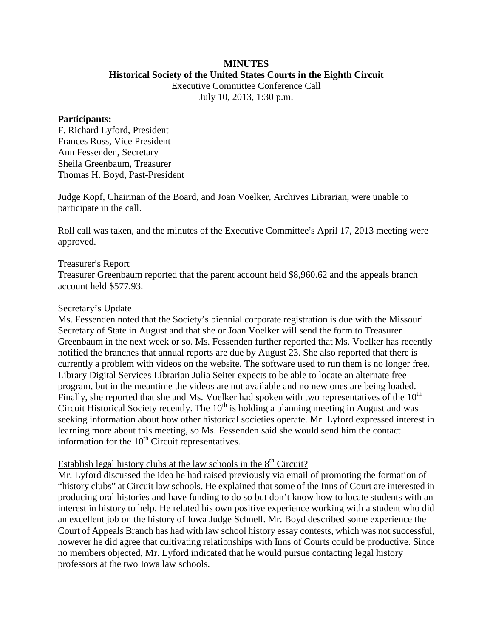# **MINUTES**

**Historical Society of the United States Courts in the Eighth Circuit**

Executive Committee Conference Call July 10, 2013, 1:30 p.m.

## **Participants:**

F. Richard Lyford, President Frances Ross, Vice President Ann Fessenden, Secretary Sheila Greenbaum, Treasurer Thomas H. Boyd, Past-President

Judge Kopf, Chairman of the Board, and Joan Voelker, Archives Librarian, were unable to participate in the call.

Roll call was taken, and the minutes of the Executive Committee's April 17, 2013 meeting were approved.

## Treasurer's Report

Treasurer Greenbaum reported that the parent account held \$8,960.62 and the appeals branch account held \$577.93.

## Secretary's Update

Ms. Fessenden noted that the Society's biennial corporate registration is due with the Missouri Secretary of State in August and that she or Joan Voelker will send the form to Treasurer Greenbaum in the next week or so. Ms. Fessenden further reported that Ms. Voelker has recently notified the branches that annual reports are due by August 23. She also reported that there is currently a problem with videos on the website. The software used to run them is no longer free. Library Digital Services Librarian Julia Seiter expects to be able to locate an alternate free program, but in the meantime the videos are not available and no new ones are being loaded. Finally, she reported that she and Ms. Voelker had spoken with two representatives of the  $10<sup>th</sup>$ Circuit Historical Society recently. The  $10<sup>th</sup>$  is holding a planning meeting in August and was seeking information about how other historical societies operate. Mr. Lyford expressed interest in learning more about this meeting, so Ms. Fessenden said she would send him the contact information for the  $10<sup>th</sup>$  Circuit representatives.

## Establish legal history clubs at the law schools in the  $8<sup>th</sup>$  Circuit?

Mr. Lyford discussed the idea he had raised previously via email of promoting the formation of "history clubs" at Circuit law schools. He explained that some of the Inns of Court are interested in producing oral histories and have funding to do so but don't know how to locate students with an interest in history to help. He related his own positive experience working with a student who did an excellent job on the history of Iowa Judge Schnell. Mr. Boyd described some experience the Court of Appeals Branch has had with law school history essay contests, which was not successful, however he did agree that cultivating relationships with Inns of Courts could be productive. Since no members objected, Mr. Lyford indicated that he would pursue contacting legal history professors at the two Iowa law schools.